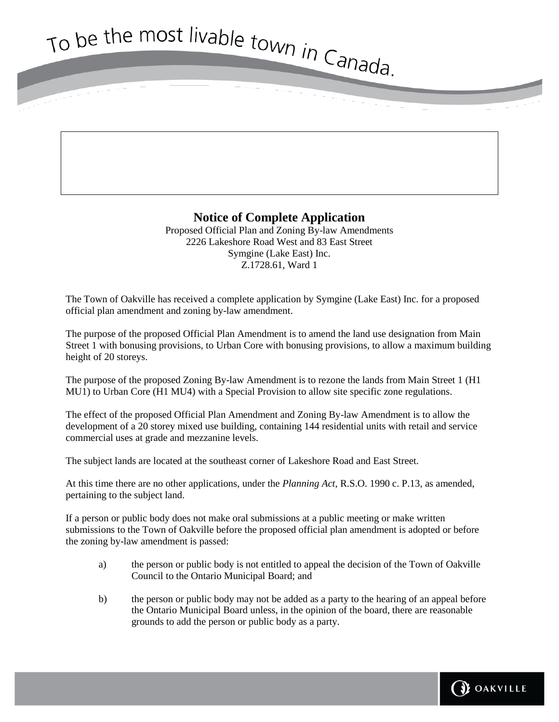To be the most livable town in Canada.

## **Notice of Complete Application**

Proposed Official Plan and Zoning By-law Amendments 2226 Lakeshore Road West and 83 East Street Symgine (Lake East) Inc. Z.1728.61, Ward 1

The Town of Oakville has received a complete application by Symgine (Lake East) Inc. for a proposed official plan amendment and zoning by-law amendment.

The purpose of the proposed Official Plan Amendment is to amend the land use designation from Main Street 1 with bonusing provisions, to Urban Core with bonusing provisions, to allow a maximum building height of 20 storeys.

The purpose of the proposed Zoning By-law Amendment is to rezone the lands from Main Street 1 (H1 MU1) to Urban Core (H1 MU4) with a Special Provision to allow site specific zone regulations.

The effect of the proposed Official Plan Amendment and Zoning By-law Amendment is to allow the development of a 20 storey mixed use building, containing 144 residential units with retail and service commercial uses at grade and mezzanine levels.

The subject lands are located at the southeast corner of Lakeshore Road and East Street.

At this time there are no other applications, under the *Planning Act*, R.S.O. 1990 c. P.13, as amended, pertaining to the subject land.

If a person or public body does not make oral submissions at a public meeting or make written submissions to the Town of Oakville before the proposed official plan amendment is adopted or before the zoning by-law amendment is passed:

- a) the person or public body is not entitled to appeal the decision of the Town of Oakville Council to the Ontario Municipal Board; and
- b) the person or public body may not be added as a party to the hearing of an appeal before the Ontario Municipal Board unless, in the opinion of the board, there are reasonable grounds to add the person or public body as a party.